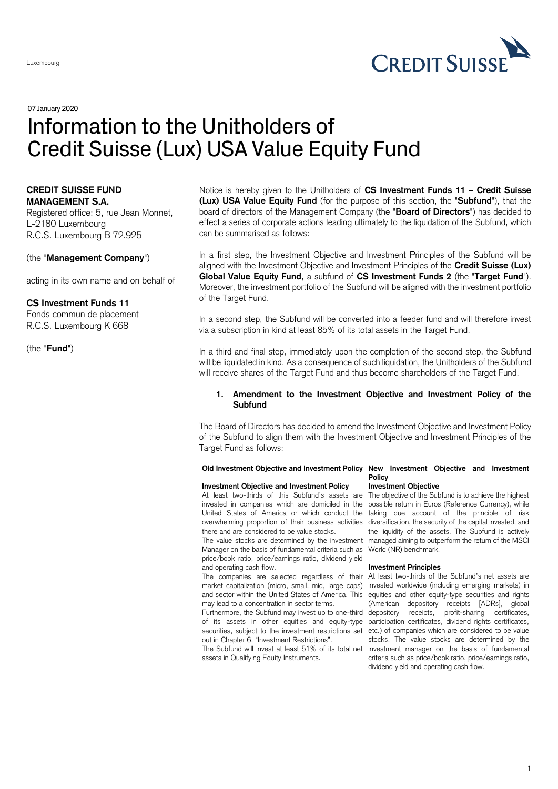

# 07January 2020 Information to the Unitholders of Credit Suisse (Lux) USA Value Equity Fund

# **CREDIT SUISSE FUND MANAGEMENT S.A.**

Registered office: 5, rue Jean Monnet, L-2180 Luxembourg R.C.S. Luxembourg B 72.925

(the "**Management Company**")

acting in its own name and on behalf of

# **CS Investment Funds 11**

Fonds commun de placement R.C.S. Luxembourg K 668

(the "**Fund**")

Notice is hereby given to the Unitholders of **CS Investment Funds 11 – Credit Suisse (Lux) USA Value Equity Fund** (for the purpose of this section, the "**Subfund**"), that the board of directors of the Management Company (the "**Board of Directors**") has decided to effect a series of corporate actions leading ultimately to the liquidation of the Subfund, which can be summarised as follows:

In a first step, the Investment Objective and Investment Principles of the Subfund will be aligned with the Investment Objective and Investment Principles of the **Credit Suisse (Lux) Global Value Equity Fund**, a subfund of **CS Investment Funds 2** (the "**Target Fund**"). Moreover, the investment portfolio of the Subfund will be aligned with the investment portfolio of the Target Fund.

In a second step, the Subfund will be converted into a feeder fund and will therefore invest via a subscription in kind at least 85% of its total assets in the Target Fund.

In a third and final step, immediately upon the completion of the second step, the Subfund will be liquidated in kind. As a consequence of such liquidation, the Unitholders of the Subfund will receive shares of the Target Fund and thus become shareholders of the Target Fund.

# **1. Amendment to the Investment Objective and Investment Policy of the Subfund**

The Board of Directors has decided to amend the Investment Objective and Investment Policy of the Subfund to align them with the Investment Objective and Investment Principles of the Target Fund as follows:

#### **Old Investment Objective and Investment Policy New Investment Objective and Investment**

#### **Investment Objective and Investment Policy**

At least two-thirds of this Subfund's assets are The objective of the Subfund is to achieve the highest invested in companies which are domiciled in the United States of America or which conduct the taking due account of the principle of risk overwhelming proportion of their business activities diversification, the security of the capital invested, and there and are considered to be value stocks.

Manager on the basis of fundamental criteria such as World (NR) benchmark. price/book ratio, price/earnings ratio, dividend yield and operating cash flow.

market capitalization (micro, small, mid, large caps) and sector within the United States of America. This may lead to a concentration in sector terms.

of its assets in other equities and equity-type securities, subject to the investment restrictions set out in Chapter 6, "Investment Restrictions".

assets in Qualifying Equity Instruments.

#### **Policy Investment Objective**

The value stocks are determined by the investment managed aiming to outperform the return of the MSCI possible return in Euros (Reference Currency), while the liquidity of the assets. The Subfund is actively

#### **Investment Principles**

The companies are selected regardless of their At least two-thirds of the Subfund's net assets are Furthermore, the Subfund may invest up to one-third depository receipts, profit-sharing certificates, The Subfund will invest at least 51% of its total net investment manager on the basis of fundamental invested worldwide (including emerging markets) in equities and other equity-type securities and rights (American depository receipts [ADRs], global participation certificates, dividend rights certificates, etc.) of companies which are considered to be value stocks. The value stocks are determined by the criteria such as price/book ratio, price/earnings ratio, dividend yield and operating cash flow.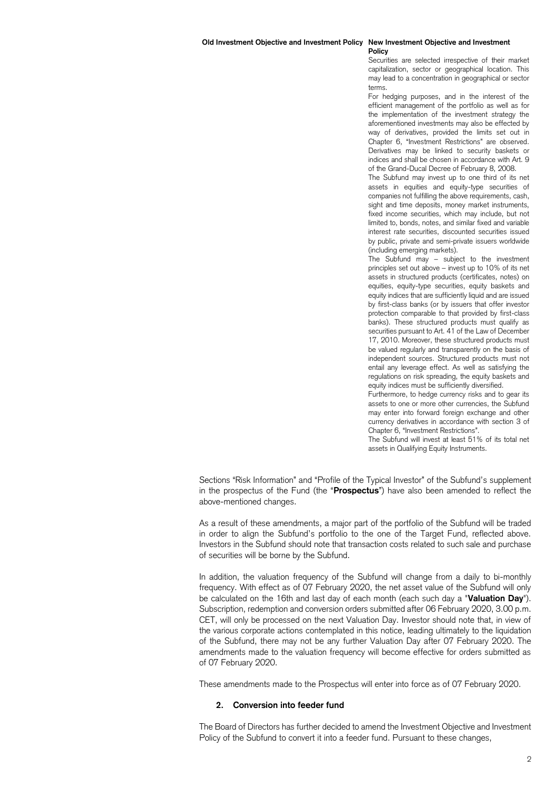# **Policy**

Securities are selected irrespective of their market capitalization, sector or geographical location. This may lead to a concentration in geographical or sector terms.

For hedging purposes, and in the interest of the efficient management of the portfolio as well as for the implementation of the investment strategy the aforementioned investments may also be effected by way of derivatives, provided the limits set out in Chapter 6, "Investment Restrictions" are observed. Derivatives may be linked to security baskets or indices and shall be chosen in accordance with Art. 9 of the Grand-Ducal Decree of February 8, 2008.

The Subfund may invest up to one third of its net assets in equities and equity-type securities of companies not fulfilling the above requirements, cash, sight and time deposits, money market instruments, fixed income securities, which may include, but not limited to, bonds, notes, and similar fixed and variable interest rate securities, discounted securities issued by public, private and semi-private issuers worldwide (including emerging markets).

The Subfund may – subject to the investment principles set out above – invest up to 10% of its net assets in structured products (certificates, notes) on equities, equity-type securities, equity baskets and equity indices that are sufficiently liquid and are issued by first-class banks (or by issuers that offer investor protection comparable to that provided by first-class banks). These structured products must qualify as securities pursuant to Art. 41 of the Law of December 17, 2010. Moreover, these structured products must be valued regularly and transparently on the basis of independent sources. Structured products must not entail any leverage effect. As well as satisfying the regulations on risk spreading, the equity baskets and equity indices must be sufficiently diversified.

Furthermore, to hedge currency risks and to gear its assets to one or more other currencies, the Subfund may enter into forward foreign exchange and other currency derivatives in accordance with section 3 of Chapter 6, "Investment Restrictions".

The Subfund will invest at least 51% of its total net assets in Qualifying Equity Instruments.

Sections "Risk Information" and "Profile of the Typical Investor" of the Subfund's supplement in the prospectus of the Fund (the "**Prospectus**") have also been amended to reflect the above-mentioned changes.

As a result of these amendments, a major part of the portfolio of the Subfund will be traded in order to align the Subfund's portfolio to the one of the Target Fund, reflected above. Investors in the Subfund should note that transaction costs related to such sale and purchase of securities will be borne by the Subfund.

In addition, the valuation frequency of the Subfund will change from a daily to bi-monthly frequency. With effect as of 07 February 2020, the net asset value of the Subfund will only be calculated on the 16th and last day of each month (each such day a "**Valuation Day**"). Subscription, redemption and conversion orders submitted after 06 February 2020, 3.00 p.m. CET, will only be processed on the next Valuation Day. Investor should note that, in view of the various corporate actions contemplated in this notice, leading ultimately to the liquidation of the Subfund, there may not be any further Valuation Day after 07 February 2020. The amendments made to the valuation frequency will become effective for orders submitted as of 07 February 2020.

These amendments made to the Prospectus will enter into force as of 07 February 2020.

### **2. Conversion into feeder fund**

The Board of Directors has further decided to amend the Investment Objective and Investment Policy of the Subfund to convert it into a feeder fund. Pursuant to these changes,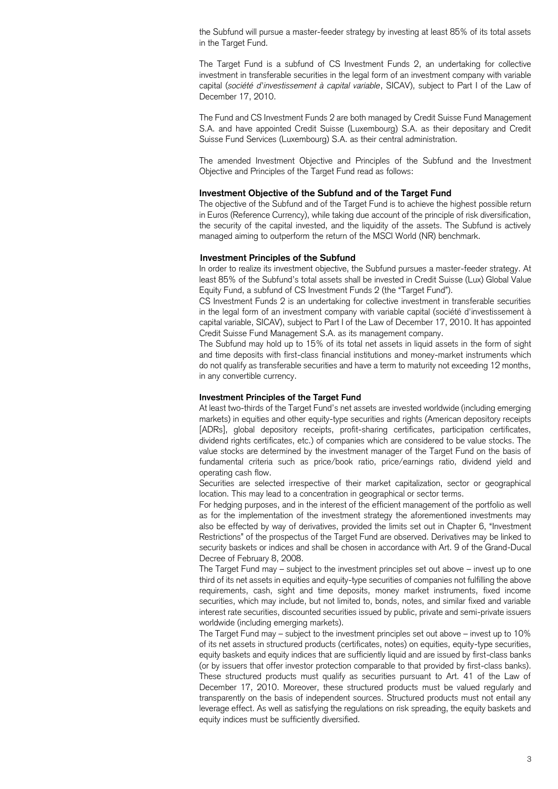the Subfund will pursue a master-feeder strategy by investing at least 85% of its total assets in the Target Fund.

The Target Fund is a subfund of CS Investment Funds 2, an undertaking for collective investment in transferable securities in the legal form of an investment company with variable capital (*société d'investissement à capital variable*, SICAV), subject to Part I of the Law of December 17, 2010.

The Fund and CS Investment Funds 2 are both managed by Credit Suisse Fund Management S.A. and have appointed Credit Suisse (Luxembourg) S.A. as their depositary and Credit Suisse Fund Services (Luxembourg) S.A. as their central administration.

The amended Investment Objective and Principles of the Subfund and the Investment Objective and Principles of the Target Fund read as follows:

# **Investment Objective of the Subfund and of the Target Fund**

The objective of the Subfund and of the Target Fund is to achieve the highest possible return in Euros (Reference Currency), while taking due account of the principle of risk diversification, the security of the capital invested, and the liquidity of the assets. The Subfund is actively managed aiming to outperform the return of the MSCI World (NR) benchmark.

#### **Investment Principles of the Subfund**

In order to realize its investment objective, the Subfund pursues a master-feeder strategy. At least 85% of the Subfund's total assets shall be invested in Credit Suisse (Lux) Global Value Equity Fund, a subfund of CS Investment Funds 2 (the "Target Fund").

CS Investment Funds 2 is an undertaking for collective investment in transferable securities in the legal form of an investment company with variable capital (société d'investissement à capital variable, SICAV), subject to Part I of the Law of December 17, 2010. It has appointed Credit Suisse Fund Management S.A. as its management company.

The Subfund may hold up to 15% of its total net assets in liquid assets in the form of sight and time deposits with first-class financial institutions and money-market instruments which do not qualify as transferable securities and have a term to maturity not exceeding 12 months, in any convertible currency.

# **Investment Principles of the Target Fund**

At least two-thirds of the Target Fund's net assets are invested worldwide (including emerging markets) in equities and other equity-type securities and rights (American depository receipts [ADRs], global depository receipts, profit-sharing certificates, participation certificates, dividend rights certificates, etc.) of companies which are considered to be value stocks. The value stocks are determined by the investment manager of the Target Fund on the basis of fundamental criteria such as price/book ratio, price/earnings ratio, dividend yield and operating cash flow.

Securities are selected irrespective of their market capitalization, sector or geographical location. This may lead to a concentration in geographical or sector terms.

For hedging purposes, and in the interest of the efficient management of the portfolio as well as for the implementation of the investment strategy the aforementioned investments may also be effected by way of derivatives, provided the limits set out in Chapter 6, "Investment Restrictions" of the prospectus of the Target Fund are observed. Derivatives may be linked to security baskets or indices and shall be chosen in accordance with Art. 9 of the Grand-Ducal Decree of February 8, 2008.

The Target Fund may – subject to the investment principles set out above – invest up to one third of its net assets in equities and equity-type securities of companies not fulfilling the above requirements, cash, sight and time deposits, money market instruments, fixed income securities, which may include, but not limited to, bonds, notes, and similar fixed and variable interest rate securities, discounted securities issued by public, private and semi-private issuers worldwide (including emerging markets).

The Target Fund may – subject to the investment principles set out above – invest up to 10% of its net assets in structured products (certificates, notes) on equities, equity-type securities, equity baskets and equity indices that are sufficiently liquid and are issued by first-class banks (or by issuers that offer investor protection comparable to that provided by first-class banks). These structured products must qualify as securities pursuant to Art. 41 of the Law of December 17, 2010. Moreover, these structured products must be valued regularly and transparently on the basis of independent sources. Structured products must not entail any leverage effect. As well as satisfying the regulations on risk spreading, the equity baskets and equity indices must be sufficiently diversified.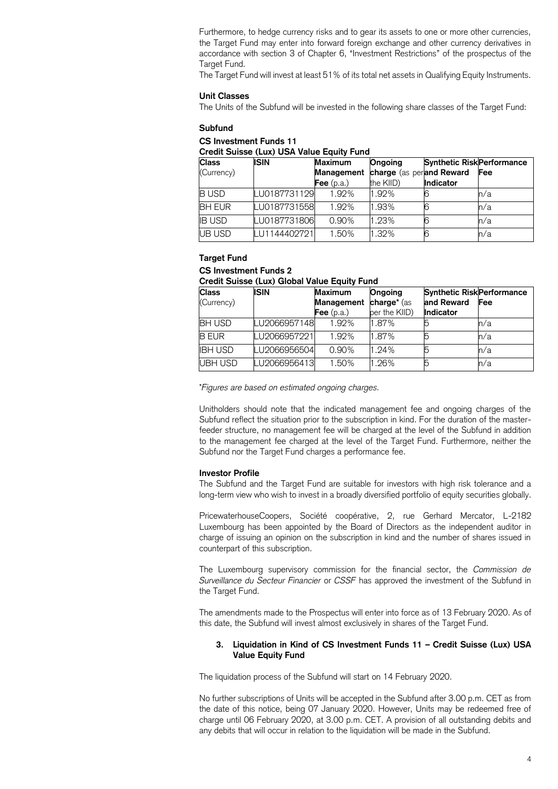Furthermore, to hedge currency risks and to gear its assets to one or more other currencies, the Target Fund may enter into forward foreign exchange and other currency derivatives in accordance with section 3 of Chapter 6, "Investment Restrictions" of the prospectus of the Target Fund.

The Target Fund will invest at least 51% of its total net assets in Qualifying Equity Instruments.

## **Unit Classes**

The Units of the Subfund will be invested in the following share classes of the Target Fund:

#### **Subfund**

# **CS Investment Funds 11**

**Credit Suisse (Lux) USA Value Equity Fund**

| <b>Class</b>  | <b>ISIN</b>  | Maximum      | <b>Ongoing</b>           | <b>Synthetic Risk Performance</b> |     |
|---------------|--------------|--------------|--------------------------|-----------------------------------|-----|
| (Currency)    |              | Management   | charge (as perand Reward |                                   | Fee |
|               |              | Fee $(p.a.)$ | the KIID)                | <b>Indicator</b>                  |     |
| <b>BUSD</b>   | LU0187731129 | 1.92%        | 1.92%                    |                                   | n/a |
| <b>BH EUR</b> | LU0187731558 | 1.92%        | 1.93%                    |                                   | n/a |
| <b>IB USD</b> | LU0187731806 | 0.90%        | 1.23%                    |                                   | n/a |
| <b>UB USD</b> | LU1144402721 | 1.50%        | 1.32%                    |                                   | n/a |

#### **Target Fund**

# **CS Investment Funds 2**

#### **Credit Suisse (Lux) Global Value Equity Fund**

| <b>Class</b>   | <b>ISIN</b>  | <b>Maximum</b>        | Ongoing                 | <b>Synthetic Risk Performance</b> |     |
|----------------|--------------|-----------------------|-------------------------|-----------------------------------|-----|
| (Currency)     |              | Management            | charge <sup>*</sup> (as | and Reward                        | Fee |
|                |              | $\mathsf{Fee}$ (p.a.) | per the KIID)           | <b>Indicator</b>                  |     |
| <b>BH USD</b>  | LU2066957148 | 1.92%                 | 1.87%                   |                                   | n/a |
| <b>B EUR</b>   | LU2066957221 | 1.92%                 | 1.87%                   |                                   | n/a |
| <b>IBH USD</b> | LU2066956504 | 0.90%                 | 1.24%                   |                                   | h/a |
| UBH USD        | LU2066956413 | 1.50%                 | 1.26%                   |                                   | n/a |

\**Figures are based on estimated ongoing charges.*

Unitholders should note that the indicated management fee and ongoing charges of the Subfund reflect the situation prior to the subscription in kind. For the duration of the masterfeeder structure, no management fee will be charged at the level of the Subfund in addition to the management fee charged at the level of the Target Fund. Furthermore, neither the Subfund nor the Target Fund charges a performance fee.

#### **Investor Profile**

The Subfund and the Target Fund are suitable for investors with high risk tolerance and a long-term view who wish to invest in a broadly diversified portfolio of equity securities globally.

PricewaterhouseCoopers, Société coopérative, 2, rue Gerhard Mercator, L-2182 Luxembourg has been appointed by the Board of Directors as the independent auditor in charge of issuing an opinion on the subscription in kind and the number of shares issued in counterpart of this subscription.

The Luxembourg supervisory commission for the financial sector, the *Commission de Surveillance du Secteur Financier* or *CSSF* has approved the investment of the Subfund in the Target Fund.

The amendments made to the Prospectus will enter into force as of 13 February 2020. As of this date, the Subfund will invest almost exclusively in shares of the Target Fund.

# **3. Liquidation in Kind of CS Investment Funds 11 – Credit Suisse (Lux) USA Value Equity Fund**

The liquidation process of the Subfund will start on 14 February 2020.

No further subscriptions of Units will be accepted in the Subfund after 3.00 p.m. CET as from the date of this notice, being 07 January 2020. However, Units may be redeemed free of charge until 06 February 2020, at 3.00 p.m. CET. A provision of all outstanding debits and any debits that will occur in relation to the liquidation will be made in the Subfund.